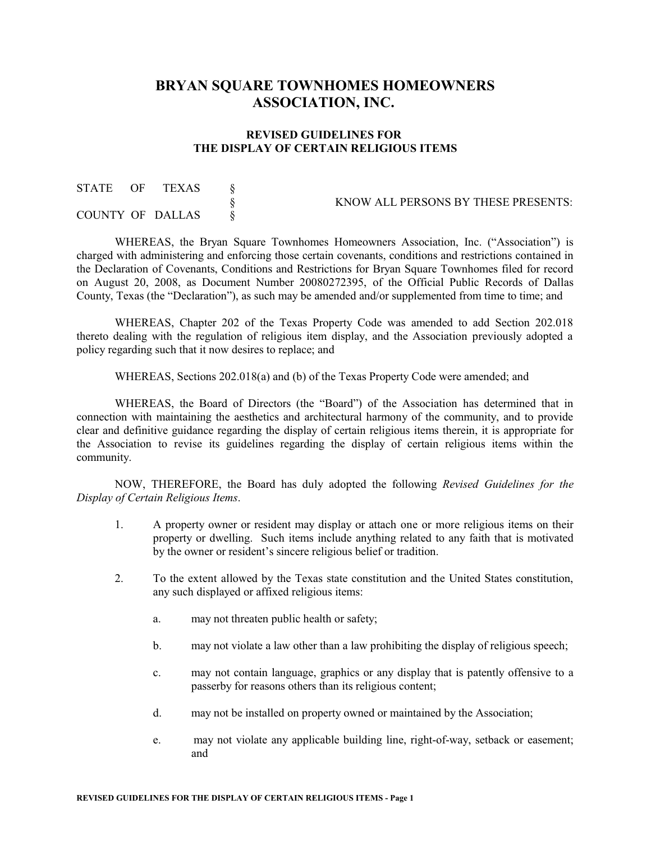## **BRYAN SQUARE TOWNHOMES HOMEOWNERS ASSOCIATION, INC.**

## **REVISED GUIDELINES FOR THE DISPLAY OF CERTAIN RELIGIOUS ITEMS**

| STATE | OF | TEXAS            |                                     |
|-------|----|------------------|-------------------------------------|
|       |    |                  | KNOW ALL PERSONS BY THESE PRESENTS: |
|       |    | COUNTY OF DALLAS |                                     |

WHEREAS, the Bryan Square Townhomes Homeowners Association, Inc. ("Association") is charged with administering and enforcing those certain covenants, conditions and restrictions contained in the Declaration of Covenants, Conditions and Restrictions for Bryan Square Townhomes filed for record on August 20, 2008, as Document Number 20080272395, of the Official Public Records of Dallas County, Texas (the "Declaration"), as such may be amended and/or supplemented from time to time; and

WHEREAS, Chapter 202 of the Texas Property Code was amended to add Section 202.018 thereto dealing with the regulation of religious item display, and the Association previously adopted a policy regarding such that it now desires to replace; and

WHEREAS, Sections 202.018(a) and (b) of the Texas Property Code were amended; and

WHEREAS, the Board of Directors (the "Board") of the Association has determined that in connection with maintaining the aesthetics and architectural harmony of the community, and to provide clear and definitive guidance regarding the display of certain religious items therein, it is appropriate for the Association to revise its guidelines regarding the display of certain religious items within the community.

NOW, THEREFORE, the Board has duly adopted the following *Revised Guidelines for the Display of Certain Religious Items*.

- 1. A property owner or resident may display or attach one or more religious items on their property or dwelling. Such items include anything related to any faith that is motivated by the owner or resident's sincere religious belief or tradition.
- 2. To the extent allowed by the Texas state constitution and the United States constitution, any such displayed or affixed religious items:
	- a. may not threaten public health or safety;
	- b. may not violate a law other than a law prohibiting the display of religious speech;
	- c. may not contain language, graphics or any display that is patently offensive to a passerby for reasons others than its religious content;
	- d. may not be installed on property owned or maintained by the Association;
	- e. may not violate any applicable building line, right-of-way, setback or easement; and